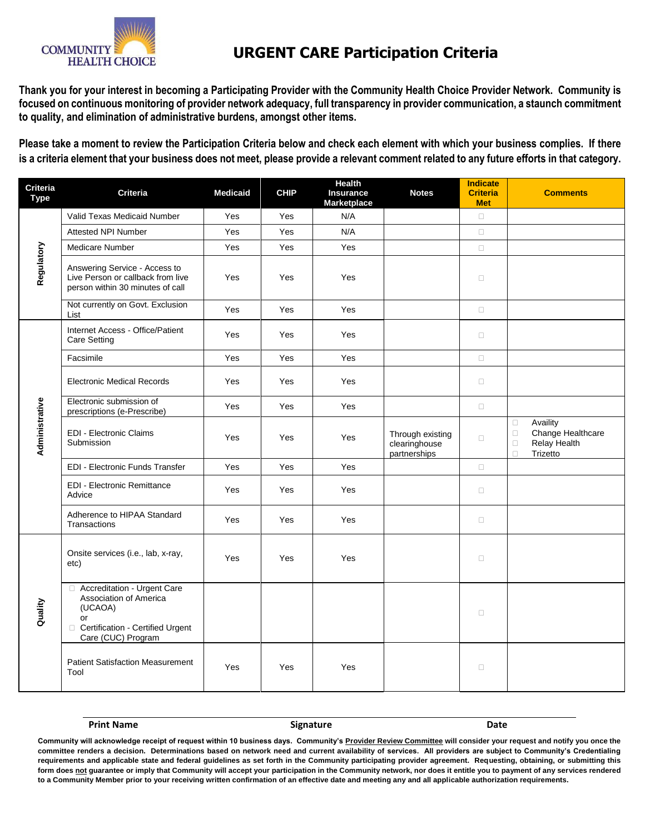

## **URGENT CARE Participation Criteria**

**Thank you for your interest in becoming a Participating Provider with the Community Health Choice Provider Network. Community is focused on continuous monitoring of provider network adequacy, full transparency in provider communication, a staunch commitment to quality, and elimination of administrative burdens, amongst other items.** 

**Please take a moment to review the Participation Criteria below and check each element with which your business complies. If there is a criteria element that your business does not meet, please provide a relevant comment related to any future efforts in that category.** 

| Criteria<br><b>Type</b> | Criteria                                                                                                                         | <b>Medicaid</b> | <b>CHIP</b> | Health<br><b>Insurance</b><br><b>Marketplace</b> | <b>Notes</b>                                      | <b>Indicate</b><br><b>Criteria</b><br><b>Met</b> | <b>Comments</b>                                                                                   |
|-------------------------|----------------------------------------------------------------------------------------------------------------------------------|-----------------|-------------|--------------------------------------------------|---------------------------------------------------|--------------------------------------------------|---------------------------------------------------------------------------------------------------|
|                         | Valid Texas Medicaid Number                                                                                                      | Yes             | Yes         | N/A                                              |                                                   | $\Box$                                           |                                                                                                   |
| Regulatory              | <b>Attested NPI Number</b>                                                                                                       | Yes             | Yes         | N/A                                              |                                                   | $\Box$                                           |                                                                                                   |
|                         | <b>Medicare Number</b>                                                                                                           | Yes             | Yes         | Yes                                              |                                                   | $\Box$                                           |                                                                                                   |
|                         | Answering Service - Access to<br>Live Person or callback from live<br>person within 30 minutes of call                           | Yes             | Yes         | Yes                                              |                                                   | $\Box$                                           |                                                                                                   |
|                         | Not currently on Govt. Exclusion<br>List                                                                                         | Yes             | Yes         | Yes                                              |                                                   | $\Box$                                           |                                                                                                   |
|                         | Internet Access - Office/Patient<br><b>Care Setting</b>                                                                          | Yes             | Yes         | Yes                                              |                                                   | $\Box$                                           |                                                                                                   |
|                         | Facsimile                                                                                                                        | Yes             | Yes         | Yes                                              |                                                   | $\Box$                                           |                                                                                                   |
|                         | <b>Electronic Medical Records</b>                                                                                                | Yes             | Yes         | Yes                                              |                                                   | $\Box$                                           |                                                                                                   |
|                         | Electronic submission of<br>prescriptions (e-Prescribe)                                                                          | Yes             | Yes         | Yes                                              |                                                   | $\Box$                                           |                                                                                                   |
| Administrative          | EDI - Electronic Claims<br>Submission                                                                                            | Yes             | Yes         | Yes                                              | Through existing<br>clearinghouse<br>partnerships | $\Box$                                           | Availity<br>$\Box$<br>Change Healthcare<br>$\Box$<br>Relay Health<br>$\Box$<br>$\Box$<br>Trizetto |
|                         | <b>EDI - Electronic Funds Transfer</b>                                                                                           | Yes             | Yes         | Yes                                              |                                                   | $\Box$                                           |                                                                                                   |
|                         | <b>EDI - Electronic Remittance</b><br>Advice                                                                                     | Yes             | Yes         | Yes                                              |                                                   | $\Box$                                           |                                                                                                   |
|                         | Adherence to HIPAA Standard<br>Transactions                                                                                      | Yes             | Yes         | Yes                                              |                                                   | $\Box$                                           |                                                                                                   |
| Quality                 | Onsite services (i.e., lab, x-ray,<br>etc)                                                                                       | Yes             | Yes         | Yes                                              |                                                   | $\Box$                                           |                                                                                                   |
|                         | Accreditation - Urgent Care<br>Association of America<br>(UCAOA)<br>or<br>Certification - Certified Urgent<br>Care (CUC) Program |                 |             |                                                  |                                                   | $\Box$                                           |                                                                                                   |
|                         | <b>Patient Satisfaction Measurement</b><br>Tool                                                                                  | Yes             | Yes         | Yes                                              |                                                   | $\Box$                                           |                                                                                                   |

## Print Name **Signature Signature Account Signature Signature Signature Signature Signature Signature C**

**Community will acknowledge receipt of request within 10 business days. Community's Provider Review Committee will consider your request and notify you once the committee renders a decision. Determinations based on network need and current availability of services. All providers are subject to Community's Credentialing requirements and applicable state and federal guidelines as set forth in the Community participating provider agreement. Requesting, obtaining, or submitting this form does not guarantee or imply that Community will accept your participation in the Community network, nor does it entitle you to payment of any services rendered to a Community Member prior to your receiving written confirmation of an effective date and meeting any and all applicable authorization requirements.**